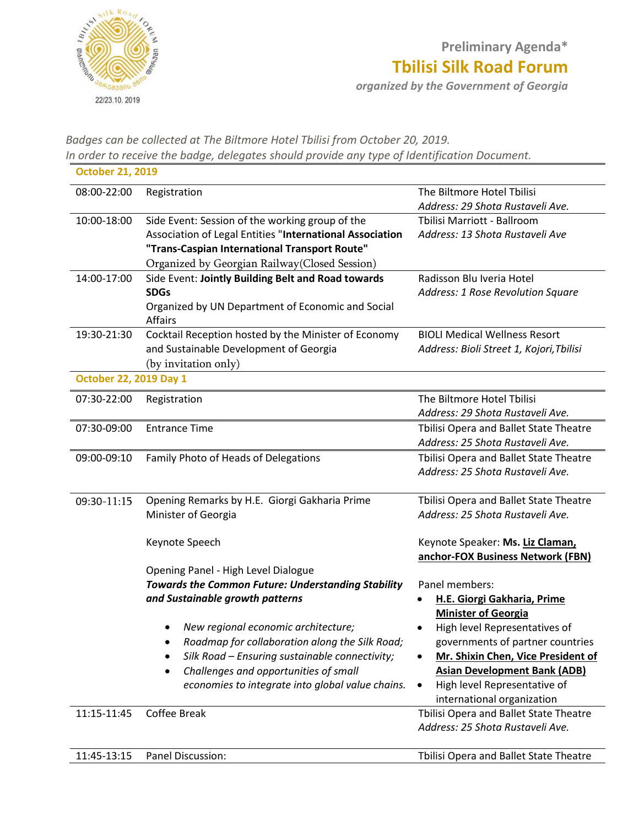

*Badges can be collected at The Biltmore Hotel Tbilisi from October 20, 2019. In order to receive the badge, delegates should provide any type of Identification Document.*

| <b>October 21, 2019</b>       |                                                                                                                                                                                                                                                                                                                                                                             |                                                                                                                                                                                                                                                                                             |
|-------------------------------|-----------------------------------------------------------------------------------------------------------------------------------------------------------------------------------------------------------------------------------------------------------------------------------------------------------------------------------------------------------------------------|---------------------------------------------------------------------------------------------------------------------------------------------------------------------------------------------------------------------------------------------------------------------------------------------|
| 08:00-22:00                   | Registration                                                                                                                                                                                                                                                                                                                                                                | The Biltmore Hotel Tbilisi<br>Address: 29 Shota Rustaveli Ave.                                                                                                                                                                                                                              |
| 10:00-18:00                   | Side Event: Session of the working group of the<br>Association of Legal Entities "International Association<br>"Trans-Caspian International Transport Route"<br>Organized by Georgian Railway(Closed Session)                                                                                                                                                               | Tbilisi Marriott - Ballroom<br>Address: 13 Shota Rustaveli Ave                                                                                                                                                                                                                              |
| 14:00-17:00                   | Side Event: Jointly Building Belt and Road towards<br><b>SDGs</b><br>Organized by UN Department of Economic and Social<br><b>Affairs</b>                                                                                                                                                                                                                                    | Radisson Blu Iveria Hotel<br>Address: 1 Rose Revolution Square                                                                                                                                                                                                                              |
| 19:30-21:30                   | Cocktail Reception hosted by the Minister of Economy<br>and Sustainable Development of Georgia<br>(by invitation only)                                                                                                                                                                                                                                                      | <b>BIOLI Medical Wellness Resort</b><br>Address: Bioli Street 1, Kojori, Tbilisi                                                                                                                                                                                                            |
| <b>October 22, 2019 Day 1</b> |                                                                                                                                                                                                                                                                                                                                                                             |                                                                                                                                                                                                                                                                                             |
| 07:30-22:00                   | Registration                                                                                                                                                                                                                                                                                                                                                                | The Biltmore Hotel Tbilisi<br>Address: 29 Shota Rustaveli Ave.                                                                                                                                                                                                                              |
| 07:30-09:00                   | <b>Entrance Time</b>                                                                                                                                                                                                                                                                                                                                                        | Tbilisi Opera and Ballet State Theatre<br>Address: 25 Shota Rustaveli Ave.                                                                                                                                                                                                                  |
| 09:00-09:10                   | Family Photo of Heads of Delegations                                                                                                                                                                                                                                                                                                                                        | Tbilisi Opera and Ballet State Theatre<br>Address: 25 Shota Rustaveli Ave.                                                                                                                                                                                                                  |
| 09:30-11:15                   | Opening Remarks by H.E. Giorgi Gakharia Prime<br>Minister of Georgia                                                                                                                                                                                                                                                                                                        | Tbilisi Opera and Ballet State Theatre<br>Address: 25 Shota Rustaveli Ave.                                                                                                                                                                                                                  |
|                               | Keynote Speech                                                                                                                                                                                                                                                                                                                                                              | Keynote Speaker: Ms. Liz Claman,<br>anchor-FOX Business Network (FBN)                                                                                                                                                                                                                       |
|                               | Opening Panel - High Level Dialogue<br><b>Towards the Common Future: Understanding Stability</b><br>and Sustainable growth patterns<br>New regional economic architecture;<br>Roadmap for collaboration along the Silk Road;<br>Silk Road - Ensuring sustainable connectivity;<br>Challenges and opportunities of small<br>economies to integrate into global value chains. | Panel members:<br>H.E. Giorgi Gakharia, Prime<br><b>Minister of Georgia</b><br>High level Representatives of<br>governments of partner countries<br>Mr. Shixin Chen, Vice President of<br><b>Asian Development Bank (ADB)</b><br>High level Representative of<br>international organization |
| 11:15-11:45                   | Coffee Break                                                                                                                                                                                                                                                                                                                                                                | Tbilisi Opera and Ballet State Theatre<br>Address: 25 Shota Rustaveli Ave.                                                                                                                                                                                                                  |

11:45-13:15 Panel Discussion: Tbilisi Opera and Ballet State Theatre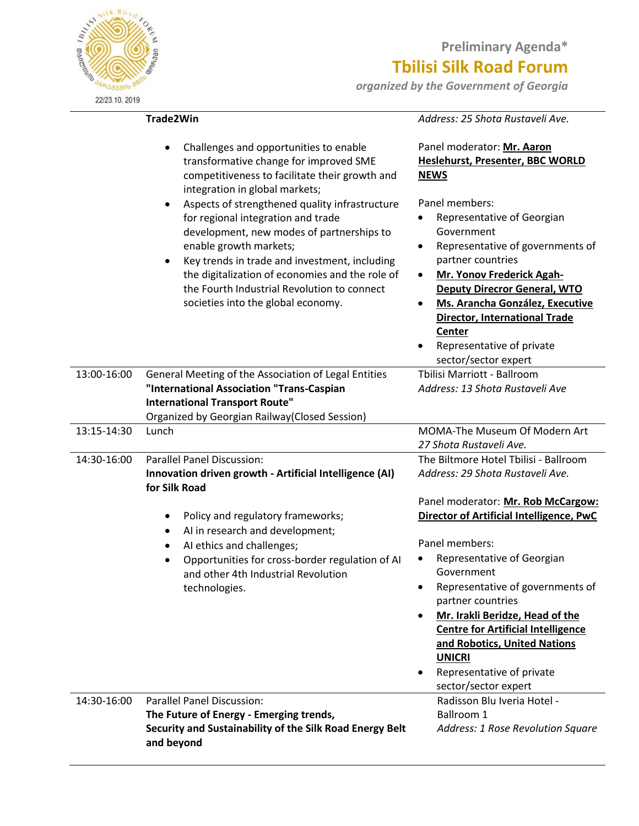## **Preliminary Agenda\* Tbilisi Silk Road Forum**

*organized by the Government of Georgia* 

**SIDRO TBILLY** 22/23.10.2019

#### **Trade2Win**

### *Address: 25 Shota Rustaveli Ave.*

|             | Challenges and opportunities to enable<br>transformative change for improved SME<br>competitiveness to facilitate their growth and<br>integration in global markets;<br>Aspects of strengthened quality infrastructure<br>for regional integration and trade<br>development, new modes of partnerships to<br>enable growth markets;<br>Key trends in trade and investment, including<br>$\bullet$<br>the digitalization of economies and the role of<br>the Fourth Industrial Revolution to connect<br>societies into the global economy. | Panel moderator: Mr. Aaron<br><b>Heslehurst, Presenter, BBC WORLD</b><br><b>NEWS</b><br>Panel members:<br>Representative of Georgian<br>Government<br>Representative of governments of<br>partner countries<br>Mr. Yonov Frederick Agah-<br>٠<br><b>Deputy Direcror General, WTO</b><br>Ms. Arancha González, Executive<br><b>Director, International Trade</b><br>Center<br>Representative of private<br>sector/sector expert |
|-------------|-------------------------------------------------------------------------------------------------------------------------------------------------------------------------------------------------------------------------------------------------------------------------------------------------------------------------------------------------------------------------------------------------------------------------------------------------------------------------------------------------------------------------------------------|--------------------------------------------------------------------------------------------------------------------------------------------------------------------------------------------------------------------------------------------------------------------------------------------------------------------------------------------------------------------------------------------------------------------------------|
| 13:00-16:00 | General Meeting of the Association of Legal Entities                                                                                                                                                                                                                                                                                                                                                                                                                                                                                      | Tbilisi Marriott - Ballroom                                                                                                                                                                                                                                                                                                                                                                                                    |
|             | "International Association "Trans-Caspian                                                                                                                                                                                                                                                                                                                                                                                                                                                                                                 | Address: 13 Shota Rustaveli Ave                                                                                                                                                                                                                                                                                                                                                                                                |
|             | <b>International Transport Route"</b>                                                                                                                                                                                                                                                                                                                                                                                                                                                                                                     |                                                                                                                                                                                                                                                                                                                                                                                                                                |
|             | Organized by Georgian Railway (Closed Session)                                                                                                                                                                                                                                                                                                                                                                                                                                                                                            |                                                                                                                                                                                                                                                                                                                                                                                                                                |
| 13:15-14:30 | Lunch                                                                                                                                                                                                                                                                                                                                                                                                                                                                                                                                     | MOMA-The Museum Of Modern Art                                                                                                                                                                                                                                                                                                                                                                                                  |
|             |                                                                                                                                                                                                                                                                                                                                                                                                                                                                                                                                           | 27 Shota Rustaveli Ave.                                                                                                                                                                                                                                                                                                                                                                                                        |
| 14:30-16:00 | <b>Parallel Panel Discussion:</b>                                                                                                                                                                                                                                                                                                                                                                                                                                                                                                         | The Biltmore Hotel Tbilisi - Ballroom                                                                                                                                                                                                                                                                                                                                                                                          |
|             | Innovation driven growth - Artificial Intelligence (AI)<br>for Silk Road                                                                                                                                                                                                                                                                                                                                                                                                                                                                  | Address: 29 Shota Rustaveli Ave.                                                                                                                                                                                                                                                                                                                                                                                               |
|             |                                                                                                                                                                                                                                                                                                                                                                                                                                                                                                                                           | Panel moderator: Mr. Rob McCargow:                                                                                                                                                                                                                                                                                                                                                                                             |
|             | Policy and regulatory frameworks;                                                                                                                                                                                                                                                                                                                                                                                                                                                                                                         | Director of Artificial Intelligence, PwC                                                                                                                                                                                                                                                                                                                                                                                       |
|             | AI in research and development;<br>٠                                                                                                                                                                                                                                                                                                                                                                                                                                                                                                      |                                                                                                                                                                                                                                                                                                                                                                                                                                |
|             | AI ethics and challenges;                                                                                                                                                                                                                                                                                                                                                                                                                                                                                                                 | Panel members:                                                                                                                                                                                                                                                                                                                                                                                                                 |
|             | Opportunities for cross-border regulation of AI                                                                                                                                                                                                                                                                                                                                                                                                                                                                                           | Representative of Georgian                                                                                                                                                                                                                                                                                                                                                                                                     |
|             | and other 4th Industrial Revolution                                                                                                                                                                                                                                                                                                                                                                                                                                                                                                       | Government                                                                                                                                                                                                                                                                                                                                                                                                                     |
|             | technologies.                                                                                                                                                                                                                                                                                                                                                                                                                                                                                                                             | Representative of governments of<br>partner countries                                                                                                                                                                                                                                                                                                                                                                          |
|             |                                                                                                                                                                                                                                                                                                                                                                                                                                                                                                                                           | Mr. Irakli Beridze, Head of the                                                                                                                                                                                                                                                                                                                                                                                                |
|             |                                                                                                                                                                                                                                                                                                                                                                                                                                                                                                                                           | <b>Centre for Artificial Intelligence</b>                                                                                                                                                                                                                                                                                                                                                                                      |
|             |                                                                                                                                                                                                                                                                                                                                                                                                                                                                                                                                           | and Robotics, United Nations                                                                                                                                                                                                                                                                                                                                                                                                   |
|             |                                                                                                                                                                                                                                                                                                                                                                                                                                                                                                                                           | <b>UNICRI</b>                                                                                                                                                                                                                                                                                                                                                                                                                  |
|             |                                                                                                                                                                                                                                                                                                                                                                                                                                                                                                                                           | Representative of private                                                                                                                                                                                                                                                                                                                                                                                                      |
|             |                                                                                                                                                                                                                                                                                                                                                                                                                                                                                                                                           | sector/sector expert                                                                                                                                                                                                                                                                                                                                                                                                           |
| 14:30-16:00 | <b>Parallel Panel Discussion:</b>                                                                                                                                                                                                                                                                                                                                                                                                                                                                                                         | Radisson Blu Iveria Hotel -                                                                                                                                                                                                                                                                                                                                                                                                    |
|             | The Future of Energy - Emerging trends,                                                                                                                                                                                                                                                                                                                                                                                                                                                                                                   | <b>Ballroom 1</b>                                                                                                                                                                                                                                                                                                                                                                                                              |
|             | Security and Sustainability of the Silk Road Energy Belt                                                                                                                                                                                                                                                                                                                                                                                                                                                                                  | Address: 1 Rose Revolution Square                                                                                                                                                                                                                                                                                                                                                                                              |
|             | and beyond                                                                                                                                                                                                                                                                                                                                                                                                                                                                                                                                |                                                                                                                                                                                                                                                                                                                                                                                                                                |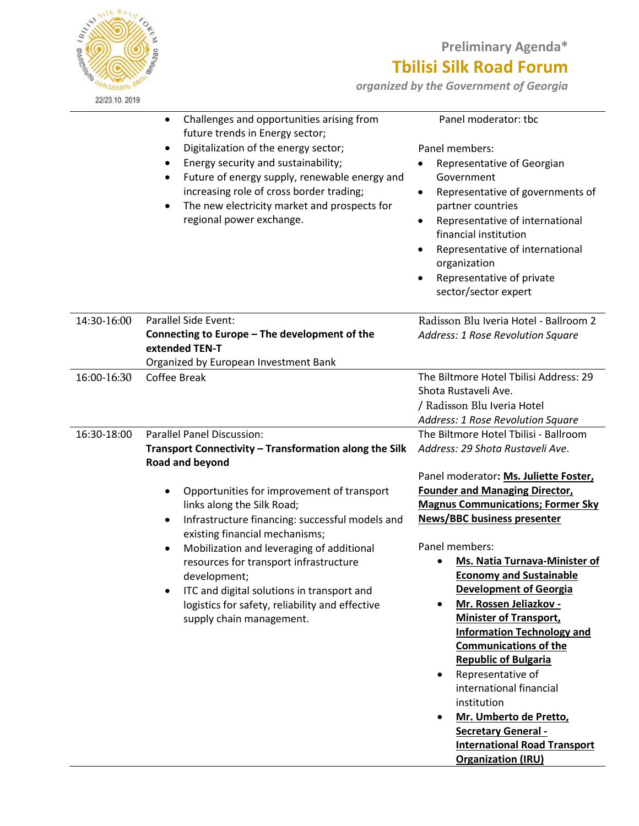

Ĭ.

L,

## **Preliminary Agenda\* Tbilisi Silk Road Forum**

*organized by the Government of Georgia* 

|             | Challenges and opportunities arising from<br>$\bullet$<br>future trends in Energy sector;<br>Digitalization of the energy sector;<br>$\bullet$<br>Energy security and sustainability;<br>Future of energy supply, renewable energy and<br>٠<br>increasing role of cross border trading;<br>The new electricity market and prospects for<br>regional power exchange. | Panel moderator: tbc<br>Panel members:<br>Representative of Georgian<br>Government<br>Representative of governments of<br>٠<br>partner countries<br>Representative of international<br>financial institution<br>Representative of international<br>organization<br>Representative of private<br>sector/sector expert |
|-------------|---------------------------------------------------------------------------------------------------------------------------------------------------------------------------------------------------------------------------------------------------------------------------------------------------------------------------------------------------------------------|----------------------------------------------------------------------------------------------------------------------------------------------------------------------------------------------------------------------------------------------------------------------------------------------------------------------|
| 14:30-16:00 | Parallel Side Event:                                                                                                                                                                                                                                                                                                                                                | Radisson Blu Iveria Hotel - Ballroom 2                                                                                                                                                                                                                                                                               |
|             | Connecting to Europe - The development of the                                                                                                                                                                                                                                                                                                                       | Address: 1 Rose Revolution Square                                                                                                                                                                                                                                                                                    |
|             | extended TEN-T                                                                                                                                                                                                                                                                                                                                                      |                                                                                                                                                                                                                                                                                                                      |
|             | Organized by European Investment Bank                                                                                                                                                                                                                                                                                                                               |                                                                                                                                                                                                                                                                                                                      |
| 16:00-16:30 | Coffee Break                                                                                                                                                                                                                                                                                                                                                        | The Biltmore Hotel Tbilisi Address: 29                                                                                                                                                                                                                                                                               |
|             |                                                                                                                                                                                                                                                                                                                                                                     | Shota Rustaveli Ave.                                                                                                                                                                                                                                                                                                 |
|             |                                                                                                                                                                                                                                                                                                                                                                     | / Radisson Blu Iveria Hotel                                                                                                                                                                                                                                                                                          |
|             |                                                                                                                                                                                                                                                                                                                                                                     | Address: 1 Rose Revolution Square                                                                                                                                                                                                                                                                                    |
| 16:30-18:00 | <b>Parallel Panel Discussion:</b>                                                                                                                                                                                                                                                                                                                                   | The Biltmore Hotel Tbilisi - Ballroom                                                                                                                                                                                                                                                                                |
|             | Transport Connectivity - Transformation along the Silk                                                                                                                                                                                                                                                                                                              | Address: 29 Shota Rustaveli Ave.                                                                                                                                                                                                                                                                                     |
|             | Road and beyond                                                                                                                                                                                                                                                                                                                                                     |                                                                                                                                                                                                                                                                                                                      |
|             |                                                                                                                                                                                                                                                                                                                                                                     | Panel moderator: Ms. Juliette Foster,                                                                                                                                                                                                                                                                                |
|             | Opportunities for improvement of transport                                                                                                                                                                                                                                                                                                                          | <b>Founder and Managing Director,</b>                                                                                                                                                                                                                                                                                |
|             | links along the Silk Road;                                                                                                                                                                                                                                                                                                                                          | <b>Magnus Communications; Former Sky</b>                                                                                                                                                                                                                                                                             |
|             | Infrastructure financing: successful models and<br>٠                                                                                                                                                                                                                                                                                                                | <b>News/BBC business presenter</b>                                                                                                                                                                                                                                                                                   |
|             | existing financial mechanisms;                                                                                                                                                                                                                                                                                                                                      |                                                                                                                                                                                                                                                                                                                      |
|             | Mobilization and leveraging of additional                                                                                                                                                                                                                                                                                                                           | Panel members:                                                                                                                                                                                                                                                                                                       |
|             | resources for transport infrastructure                                                                                                                                                                                                                                                                                                                              | Ms. Natia Turnava-Minister of                                                                                                                                                                                                                                                                                        |
|             | development;                                                                                                                                                                                                                                                                                                                                                        | <b>Economy and Sustainable</b>                                                                                                                                                                                                                                                                                       |
|             | ITC and digital solutions in transport and                                                                                                                                                                                                                                                                                                                          | <b>Development of Georgia</b>                                                                                                                                                                                                                                                                                        |
|             | logistics for safety, reliability and effective                                                                                                                                                                                                                                                                                                                     | Mr. Rossen Jeliazkov -<br>٠                                                                                                                                                                                                                                                                                          |
|             | supply chain management.                                                                                                                                                                                                                                                                                                                                            | <b>Minister of Transport,</b>                                                                                                                                                                                                                                                                                        |
|             |                                                                                                                                                                                                                                                                                                                                                                     | <b>Information Technology and</b>                                                                                                                                                                                                                                                                                    |
|             |                                                                                                                                                                                                                                                                                                                                                                     | <b>Communications of the</b>                                                                                                                                                                                                                                                                                         |
|             |                                                                                                                                                                                                                                                                                                                                                                     | <b>Republic of Bulgaria</b>                                                                                                                                                                                                                                                                                          |
|             |                                                                                                                                                                                                                                                                                                                                                                     | Representative of<br>٠                                                                                                                                                                                                                                                                                               |
|             |                                                                                                                                                                                                                                                                                                                                                                     | international financial                                                                                                                                                                                                                                                                                              |
|             |                                                                                                                                                                                                                                                                                                                                                                     | institution                                                                                                                                                                                                                                                                                                          |
|             |                                                                                                                                                                                                                                                                                                                                                                     | Mr. Umberto de Pretto,<br>٠                                                                                                                                                                                                                                                                                          |
|             |                                                                                                                                                                                                                                                                                                                                                                     | <b>Secretary General -</b>                                                                                                                                                                                                                                                                                           |
|             |                                                                                                                                                                                                                                                                                                                                                                     | <b>International Road Transport</b>                                                                                                                                                                                                                                                                                  |
|             |                                                                                                                                                                                                                                                                                                                                                                     | <b>Organization (IRU)</b>                                                                                                                                                                                                                                                                                            |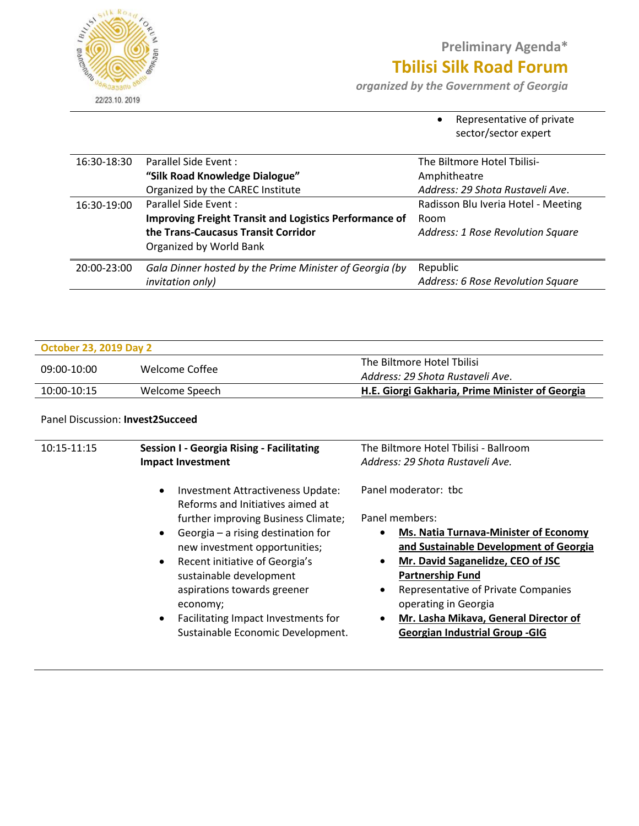

# **Preliminary Agenda\* Tbilisi Silk Road Forum**

*organized by the Government of Georgia* 

• Representative of private sector/sector expert

| 16:30-18:30 | Parallel Side Event:                                          | The Biltmore Hotel Tbilisi-         |
|-------------|---------------------------------------------------------------|-------------------------------------|
|             | "Silk Road Knowledge Dialogue"                                | Amphitheatre                        |
|             | Organized by the CAREC Institute                              | Address: 29 Shota Rustaveli Ave.    |
| 16:30-19:00 | Parallel Side Event:                                          | Radisson Blu Iveria Hotel - Meeting |
|             | <b>Improving Freight Transit and Logistics Performance of</b> | Room                                |
|             | the Trans-Caucasus Transit Corridor                           | Address: 1 Rose Revolution Square   |
|             | Organized by World Bank                                       |                                     |
| 20:00-23:00 | Gala Dinner hosted by the Prime Minister of Georgia (by       | Republic                            |
|             | invitation only)                                              | Address: 6 Rose Revolution Square   |
|             |                                                               |                                     |

| <b>October 23, 2019 Day 2</b> |                |                                                 |
|-------------------------------|----------------|-------------------------------------------------|
| 09:00-10:00                   |                | The Biltmore Hotel Tbilisi                      |
|                               | Welcome Coffee | Address: 29 Shota Rustaveli Ave.                |
| 10:00-10:15                   | Welcome Speech | H.E. Giorgi Gakharia, Prime Minister of Georgia |

#### Panel Discussion: **Invest2Succeed**

| 10:15-11:15<br><b>Session I - Georgia Rising - Facilitating</b><br><b>Impact Investment</b>                                                                                                                                                                                                                                                                                                                                 | The Biltmore Hotel Tbilisi - Ballroom<br>Address: 29 Shota Rustaveli Ave.                                                                                                                                                                                                                                                                                                                      |
|-----------------------------------------------------------------------------------------------------------------------------------------------------------------------------------------------------------------------------------------------------------------------------------------------------------------------------------------------------------------------------------------------------------------------------|------------------------------------------------------------------------------------------------------------------------------------------------------------------------------------------------------------------------------------------------------------------------------------------------------------------------------------------------------------------------------------------------|
| Investment Attractiveness Update:<br>$\bullet$<br>Reforms and Initiatives aimed at<br>further improving Business Climate;<br>Georgia - a rising destination for<br>$\bullet$<br>new investment opportunities;<br>Recent initiative of Georgia's<br>$\bullet$<br>sustainable development<br>aspirations towards greener<br>economy;<br>Facilitating Impact Investments for<br>$\bullet$<br>Sustainable Economic Development. | Panel moderator: tbc<br>Panel members:<br>Ms. Natia Turnava-Minister of Economy<br>$\bullet$<br>and Sustainable Development of Georgia<br>Mr. David Saganelidze, CEO of JSC<br>$\bullet$<br><b>Partnership Fund</b><br>Representative of Private Companies<br>$\bullet$<br>operating in Georgia<br>Mr. Lasha Mikava, General Director of<br>$\bullet$<br><b>Georgian Industrial Group -GIG</b> |